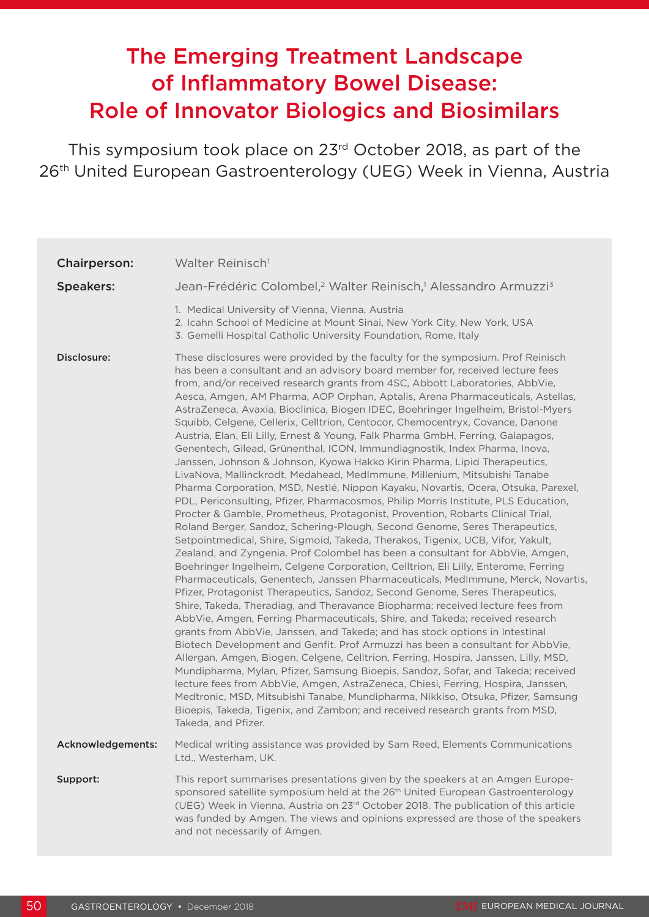# The Emerging Treatment Landscape of Inflammatory Bowel Disease: Role of Innovator Biologics and Biosimilars

This symposium took place on 23rd October 2018, as part of the 26<sup>th</sup> United European Gastroenterology (UEG) Week in Vienna, Austria

| <b>Chairperson:</b> | Walter Reinisch <sup>1</sup>                                                                                                                                                                                                                                                                                                                                                                                                                                                                                                                                                                                                                                                                                                                                                                                                                                                                                                                                                                                                                                                                                                                                                                                                                                                                                                                                                                                                                                                                                                                                                                                                                                                                                                                                                                                                                                                                                                                                                                                                                                                                                                                                                                                                                                                                                                                                                                               |
|---------------------|------------------------------------------------------------------------------------------------------------------------------------------------------------------------------------------------------------------------------------------------------------------------------------------------------------------------------------------------------------------------------------------------------------------------------------------------------------------------------------------------------------------------------------------------------------------------------------------------------------------------------------------------------------------------------------------------------------------------------------------------------------------------------------------------------------------------------------------------------------------------------------------------------------------------------------------------------------------------------------------------------------------------------------------------------------------------------------------------------------------------------------------------------------------------------------------------------------------------------------------------------------------------------------------------------------------------------------------------------------------------------------------------------------------------------------------------------------------------------------------------------------------------------------------------------------------------------------------------------------------------------------------------------------------------------------------------------------------------------------------------------------------------------------------------------------------------------------------------------------------------------------------------------------------------------------------------------------------------------------------------------------------------------------------------------------------------------------------------------------------------------------------------------------------------------------------------------------------------------------------------------------------------------------------------------------------------------------------------------------------------------------------------------------|
| <b>Speakers:</b>    | Jean-Frédéric Colombel, <sup>2</sup> Walter Reinisch, <sup>1</sup> Alessandro Armuzzi <sup>3</sup>                                                                                                                                                                                                                                                                                                                                                                                                                                                                                                                                                                                                                                                                                                                                                                                                                                                                                                                                                                                                                                                                                                                                                                                                                                                                                                                                                                                                                                                                                                                                                                                                                                                                                                                                                                                                                                                                                                                                                                                                                                                                                                                                                                                                                                                                                                         |
|                     | 1. Medical University of Vienna, Vienna, Austria<br>2. Icahn School of Medicine at Mount Sinai, New York City, New York, USA<br>3. Gemelli Hospital Catholic University Foundation, Rome, Italy                                                                                                                                                                                                                                                                                                                                                                                                                                                                                                                                                                                                                                                                                                                                                                                                                                                                                                                                                                                                                                                                                                                                                                                                                                                                                                                                                                                                                                                                                                                                                                                                                                                                                                                                                                                                                                                                                                                                                                                                                                                                                                                                                                                                            |
| Disclosure:         | These disclosures were provided by the faculty for the symposium. Prof Reinisch<br>has been a consultant and an advisory board member for, received lecture fees<br>from, and/or received research grants from 4SC, Abbott Laboratories, AbbVie,<br>Aesca, Amgen, AM Pharma, AOP Orphan, Aptalis, Arena Pharmaceuticals, Astellas,<br>AstraZeneca, Avaxia, Bioclinica, Biogen IDEC, Boehringer Ingelheim, Bristol-Myers<br>Squibb, Celgene, Cellerix, Celltrion, Centocor, Chemocentryx, Covance, Danone<br>Austria, Elan, Eli Lilly, Ernest & Young, Falk Pharma GmbH, Ferring, Galapagos,<br>Genentech, Gilead, Grünenthal, ICON, Immundiagnostik, Index Pharma, Inova,<br>Janssen, Johnson & Johnson, Kyowa Hakko Kirin Pharma, Lipid Therapeutics,<br>LivaNova, Mallinckrodt, Medahead, MedImmune, Millenium, Mitsubishi Tanabe<br>Pharma Corporation, MSD, Nestlé, Nippon Kayaku, Novartis, Ocera, Otsuka, Parexel,<br>PDL, Periconsulting, Pfizer, Pharmacosmos, Philip Morris Institute, PLS Education,<br>Procter & Gamble, Prometheus, Protagonist, Provention, Robarts Clinical Trial,<br>Roland Berger, Sandoz, Schering-Plough, Second Genome, Seres Therapeutics,<br>Setpointmedical, Shire, Sigmoid, Takeda, Therakos, Tigenix, UCB, Vifor, Yakult,<br>Zealand, and Zyngenia. Prof Colombel has been a consultant for AbbVie, Amgen,<br>Boehringer Ingelheim, Celgene Corporation, Celltrion, Eli Lilly, Enterome, Ferring<br>Pharmaceuticals, Genentech, Janssen Pharmaceuticals, MedImmune, Merck, Novartis,<br>Pfizer, Protagonist Therapeutics, Sandoz, Second Genome, Seres Therapeutics,<br>Shire, Takeda, Theradiag, and Theravance Biopharma; received lecture fees from<br>AbbVie, Amgen, Ferring Pharmaceuticals, Shire, and Takeda; received research<br>grants from AbbVie, Janssen, and Takeda; and has stock options in Intestinal<br>Biotech Development and Genfit. Prof Armuzzi has been a consultant for AbbVie,<br>Allergan, Amgen, Biogen, Celgene, Celltrion, Ferring, Hospira, Janssen, Lilly, MSD,<br>Mundipharma, Mylan, Pfizer, Samsung Bioepis, Sandoz, Sofar, and Takeda; received<br>lecture fees from AbbVie, Amgen, AstraZeneca, Chiesi, Ferring, Hospira, Janssen,<br>Medtronic, MSD, Mitsubishi Tanabe, Mundipharma, Nikkiso, Otsuka, Pfizer, Samsung<br>Bioepis, Takeda, Tigenix, and Zambon; and received research grants from MSD,<br>Takeda, and Pfizer. |
| Acknowledgements:   | Medical writing assistance was provided by Sam Reed, Elements Communications<br>Ltd., Westerham, UK.                                                                                                                                                                                                                                                                                                                                                                                                                                                                                                                                                                                                                                                                                                                                                                                                                                                                                                                                                                                                                                                                                                                                                                                                                                                                                                                                                                                                                                                                                                                                                                                                                                                                                                                                                                                                                                                                                                                                                                                                                                                                                                                                                                                                                                                                                                       |
| Support:            | This report summarises presentations given by the speakers at an Amgen Europe-<br>sponsored satellite symposium held at the 26 <sup>th</sup> United European Gastroenterology<br>(UEG) Week in Vienna, Austria on 23 <sup>rd</sup> October 2018. The publication of this article<br>was funded by Amgen. The views and opinions expressed are those of the speakers<br>and not necessarily of Amgen.                                                                                                                                                                                                                                                                                                                                                                                                                                                                                                                                                                                                                                                                                                                                                                                                                                                                                                                                                                                                                                                                                                                                                                                                                                                                                                                                                                                                                                                                                                                                                                                                                                                                                                                                                                                                                                                                                                                                                                                                       |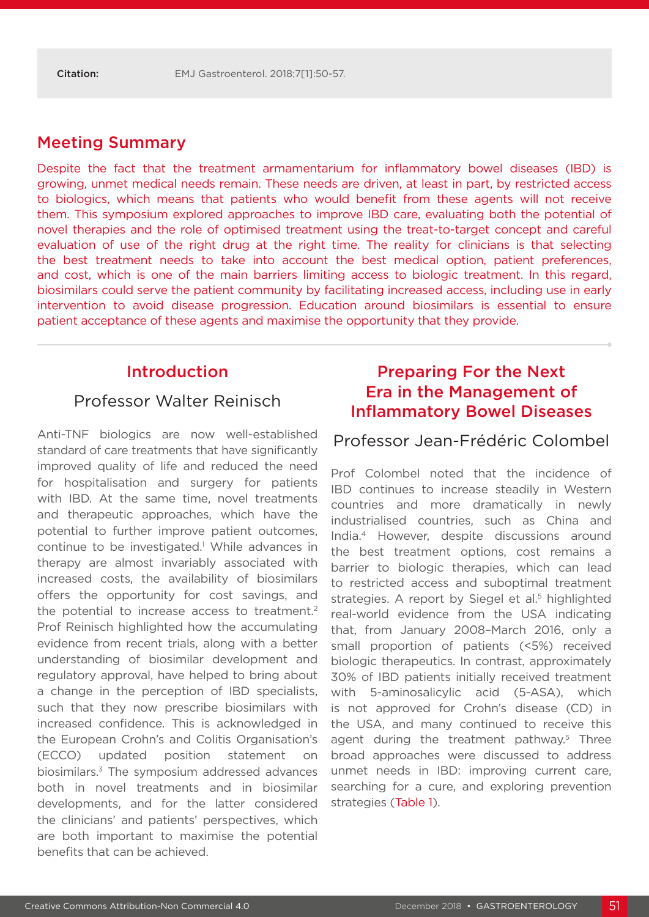### Meeting Summary

Despite the fact that the treatment armamentarium for inflammatory bowel diseases (IBD) is growing, unmet medical needs remain. These needs are driven, at least in part, by restricted access to biologics, which means that patients who would benefit from these agents will not receive them. This symposium explored approaches to improve IBD care, evaluating both the potential of novel therapies and the role of optimised treatment using the treat-to-target concept and careful evaluation of use of the right drug at the right time. The reality for clinicians is that selecting the best treatment needs to take into account the best medical option, patient preferences, and cost, which is one of the main barriers limiting access to biologic treatment. In this regard, biosimilars could serve the patient community by facilitating increased access, including use in early intervention to avoid disease progression. Education around biosimilars is essential to ensure patient acceptance of these agents and maximise the opportunity that they provide.

#### Introduction

#### Professor Walter Reinisch

Anti-TNF biologics are now well-established standard of care treatments that have significantly improved quality of life and reduced the need for hospitalisation and surgery for patients with IBD. At the same time, novel treatments and therapeutic approaches, which have the potential to further improve patient outcomes, continue to be investigated.<sup>1</sup> While advances in therapy are almost invariably associated with increased costs, the availability of biosimilars offers the opportunity for cost savings, and the potential to increase access to treatment.<sup>2</sup> Prof Reinisch highlighted how the accumulating evidence from recent trials, along with a better understanding of biosimilar development and regulatory approval, have helped to bring about a change in the perception of IBD specialists, such that they now prescribe biosimilars with increased confidence. This is acknowledged in the European Crohn's and Colitis Organisation's (ECCO) updated position statement on biosimilars.3 The symposium addressed advances both in novel treatments and in biosimilar developments, and for the latter considered the clinicians' and patients' perspectives, which are both important to maximise the potential benefits that can be achieved.

# Preparing For the Next Era in the Management of Inflammatory Bowel Diseases

#### Professor Jean-Frédéric Colombel

Prof Colombel noted that the incidence of IBD continues to increase steadily in Western countries and more dramatically in newly industrialised countries, such as China and India.4 However, despite discussions around the best treatment options, cost remains a barrier to biologic therapies, which can lead to restricted access and suboptimal treatment strategies. A report by Siegel et al.<sup>5</sup> highlighted real-world evidence from the USA indicating that, from January 2008–March 2016, only a small proportion of patients (<5%) received biologic therapeutics. In contrast, approximately 30% of IBD patients initially received treatment with 5-aminosalicylic acid (5-ASA), which is not approved for Crohn's disease (CD) in the USA, and many continued to receive this agent during the treatment pathway.<sup>5</sup> Three broad approaches were discussed to address unmet needs in IBD: improving current care, searching for a cure, and exploring prevention strategies (Table 1).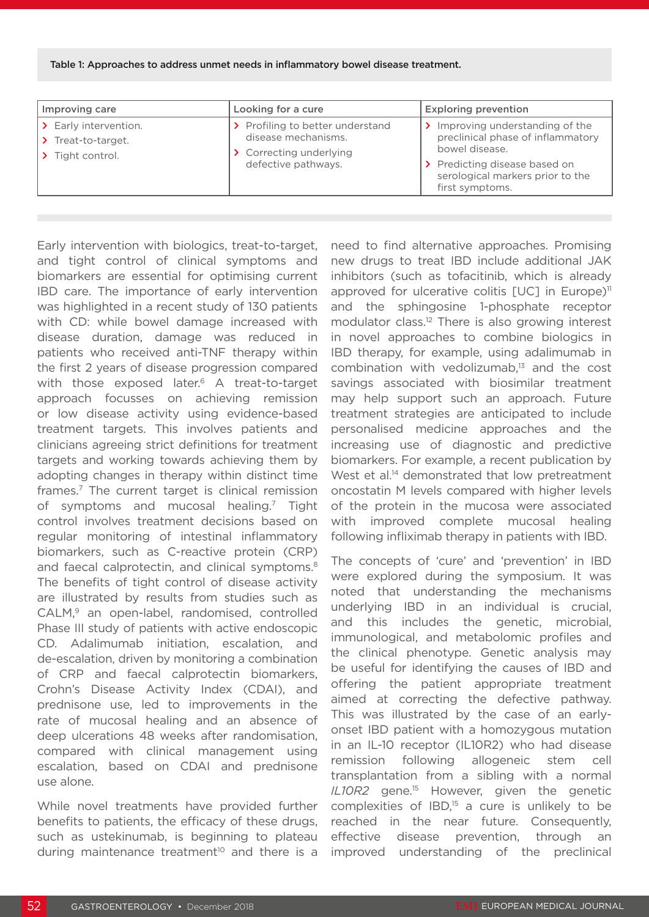#### Table 1: Approaches to address unmet needs in inflammatory bowel disease treatment.

| Improving care                                            | Looking for a cure                                                                                        | <b>Exploring prevention</b>                                                           |  |
|-----------------------------------------------------------|-----------------------------------------------------------------------------------------------------------|---------------------------------------------------------------------------------------|--|
| Early intervention.<br>Treat-to-target.<br>Tight control. | > Profiling to better understand<br>disease mechanisms.<br>> Correcting underlying<br>defective pathways. | Improving understanding of the<br>preclinical phase of inflammatory<br>bowel disease. |  |
|                                                           |                                                                                                           | > Predicting disease based on<br>serological markers prior to the<br>first symptoms.  |  |

Early intervention with biologics, treat-to-target, and tight control of clinical symptoms and biomarkers are essential for optimising current IBD care. The importance of early intervention was highlighted in a recent study of 130 patients with CD: while bowel damage increased with disease duration, damage was reduced in patients who received anti-TNF therapy within the first 2 years of disease progression compared with those exposed later.<sup>6</sup> A treat-to-target approach focusses on achieving remission or low disease activity using evidence-based treatment targets. This involves patients and clinicians agreeing strict definitions for treatment targets and working towards achieving them by adopting changes in therapy within distinct time frames.7 The current target is clinical remission of symptoms and mucosal healing.<sup>7</sup> Tight control involves treatment decisions based on regular monitoring of intestinal inflammatory biomarkers, such as C-reactive protein (CRP) and faecal calprotectin, and clinical symptoms.<sup>8</sup> The benefits of tight control of disease activity are illustrated by results from studies such as CALM,<sup>9</sup> an open-label, randomised, controlled Phase III study of patients with active endoscopic CD. Adalimumab initiation, escalation, and de-escalation, driven by monitoring a combination of CRP and faecal calprotectin biomarkers, Crohn's Disease Activity Index (CDAI), and prednisone use, led to improvements in the rate of mucosal healing and an absence of deep ulcerations 48 weeks after randomisation, compared with clinical management using escalation, based on CDAI and prednisone use alone.

While novel treatments have provided further benefits to patients, the efficacy of these drugs, such as ustekinumab, is beginning to plateau during maintenance treatment<sup>10</sup> and there is a

need to find alternative approaches. Promising new drugs to treat IBD include additional JAK inhibitors (such as tofacitinib, which is already approved for ulcerative colitis [UC] in Europe)<sup>11</sup> and the sphingosine 1-phosphate receptor modulator class.12 There is also growing interest in novel approaches to combine biologics in IBD therapy, for example, using adalimumab in combination with vedolizumab,13 and the cost savings associated with biosimilar treatment may help support such an approach. Future treatment strategies are anticipated to include personalised medicine approaches and the increasing use of diagnostic and predictive biomarkers. For example, a recent publication by West et al.<sup>14</sup> demonstrated that low pretreatment oncostatin M levels compared with higher levels of the protein in the mucosa were associated with improved complete mucosal healing following infliximab therapy in patients with IBD.

The concepts of 'cure' and 'prevention' in IBD were explored during the symposium. It was noted that understanding the mechanisms underlying IBD in an individual is crucial, and this includes the genetic, microbial, immunological, and metabolomic profiles and the clinical phenotype. Genetic analysis may be useful for identifying the causes of IBD and offering the patient appropriate treatment aimed at correcting the defective pathway. This was illustrated by the case of an earlyonset IBD patient with a homozygous mutation in an IL-10 receptor (IL10R2) who had disease remission following allogeneic stem cell transplantation from a sibling with a normal *IL10R2* gene.15 However, given the genetic complexities of  $IBD<sub>15</sub>$  a cure is unlikely to be reached in the near future. Consequently, effective disease prevention, through an improved understanding of the preclinical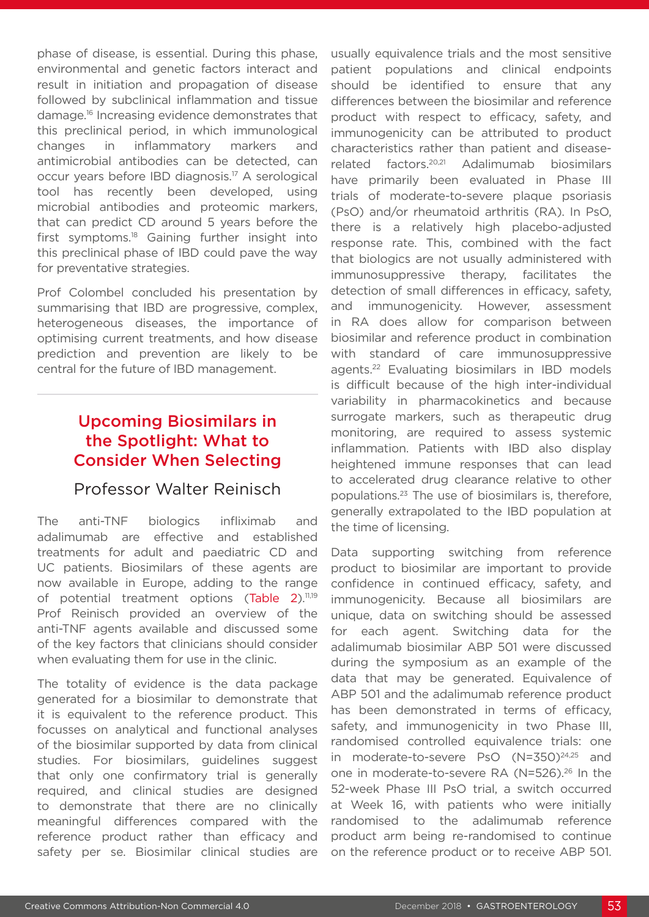phase of disease, is essential. During this phase, environmental and genetic factors interact and result in initiation and propagation of disease followed by subclinical inflammation and tissue damage.16 Increasing evidence demonstrates that this preclinical period, in which immunological changes in inflammatory markers and antimicrobial antibodies can be detected, can occur years before IBD diagnosis.17 A serological tool has recently been developed, using microbial antibodies and proteomic markers, that can predict CD around 5 years before the first symptoms.18 Gaining further insight into this preclinical phase of IBD could pave the way for preventative strategies.

Prof Colombel concluded his presentation by summarising that IBD are progressive, complex, heterogeneous diseases, the importance of optimising current treatments, and how disease prediction and prevention are likely to be central for the future of IBD management.

## Upcoming Biosimilars in the Spotlight: What to Consider When Selecting

#### Professor Walter Reinisch

The anti-TNF biologics infliximab and adalimumab are effective and established treatments for adult and paediatric CD and UC patients. Biosimilars of these agents are now available in Europe, adding to the range of potential treatment options (Table 2).<sup>11,19</sup> Prof Reinisch provided an overview of the anti-TNF agents available and discussed some of the key factors that clinicians should consider when evaluating them for use in the clinic.

The totality of evidence is the data package generated for a biosimilar to demonstrate that it is equivalent to the reference product. This focusses on analytical and functional analyses of the biosimilar supported by data from clinical studies. For biosimilars, guidelines suggest that only one confirmatory trial is generally required, and clinical studies are designed to demonstrate that there are no clinically meaningful differences compared with the reference product rather than efficacy and safety per se. Biosimilar clinical studies are

usually equivalence trials and the most sensitive patient populations and clinical endpoints should be identified to ensure that any differences between the biosimilar and reference product with respect to efficacy, safety, and immunogenicity can be attributed to product characteristics rather than patient and diseaserelated factors.20,21 Adalimumab biosimilars have primarily been evaluated in Phase III trials of moderate-to-severe plaque psoriasis (PsO) and/or rheumatoid arthritis (RA). In PsO, there is a relatively high placebo-adjusted response rate. This, combined with the fact that biologics are not usually administered with immunosuppressive therapy, facilitates the detection of small differences in efficacy, safety, and immunogenicity. However, assessment in RA does allow for comparison between biosimilar and reference product in combination with standard of care immunosuppressive agents.22 Evaluating biosimilars in IBD models is difficult because of the high inter-individual variability in pharmacokinetics and because surrogate markers, such as therapeutic drug monitoring, are required to assess systemic inflammation. Patients with IBD also display heightened immune responses that can lead to accelerated drug clearance relative to other populations.23 The use of biosimilars is, therefore, generally extrapolated to the IBD population at the time of licensing.

Data supporting switching from reference product to biosimilar are important to provide confidence in continued efficacy, safety, and immunogenicity. Because all biosimilars are unique, data on switching should be assessed for each agent. Switching data for the adalimumab biosimilar ABP 501 were discussed during the symposium as an example of the data that may be generated. Equivalence of ABP 501 and the adalimumab reference product has been demonstrated in terms of efficacy, safety, and immunogenicity in two Phase III, randomised controlled equivalence trials: one in moderate-to-severe PsO (N=350)<sup>24,25</sup> and one in moderate-to-severe RA (N=526).26 In the 52-week Phase III PsO trial, a switch occurred at Week 16, with patients who were initially randomised to the adalimumab reference product arm being re-randomised to continue on the reference product or to receive ABP 501.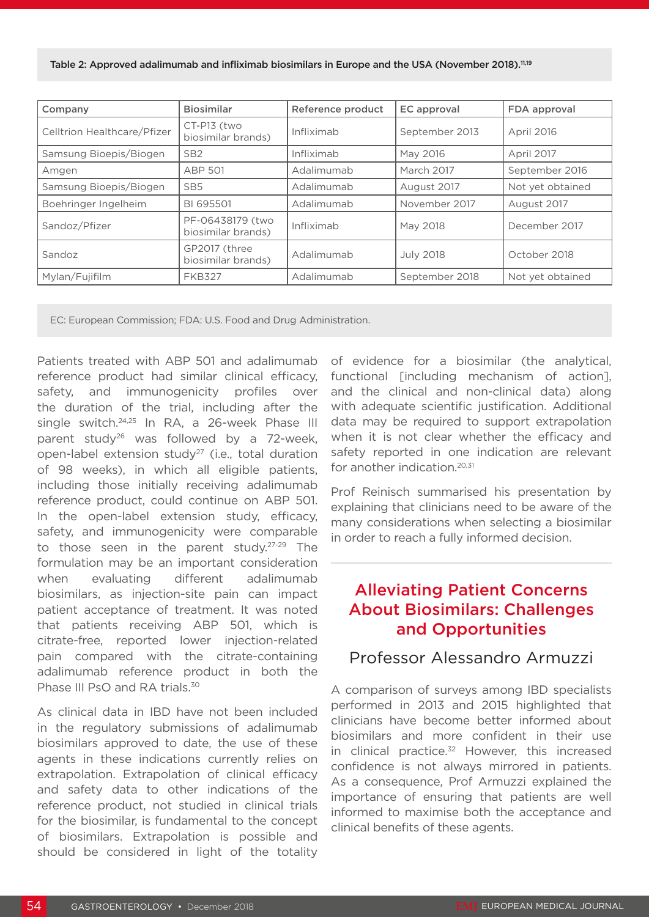| Company                     | <b>Biosimilar</b>                      | Reference product | <b>EC</b> approval | FDA approval     |
|-----------------------------|----------------------------------------|-------------------|--------------------|------------------|
| Celltrion Healthcare/Pfizer | CT-P13 (two<br>biosimilar brands)      | Infliximab        | September 2013     | April 2016       |
| Samsung Bioepis/Biogen      | SB <sub>2</sub>                        | Infliximab        | May 2016           | April 2017       |
| Amgen                       | <b>ABP 501</b>                         | Adalimumab        | March 2017         | September 2016   |
| Samsung Bioepis/Biogen      | SB <sub>5</sub>                        | Adalimumab        | August 2017        | Not yet obtained |
| Boehringer Ingelheim        | BI 695501                              | Adalimumab        | November 2017      | August 2017      |
| Sandoz/Pfizer               | PF-06438179 (two<br>biosimilar brands) | Infliximab        | May 2018           | December 2017    |
| Sandoz                      | GP2017 (three<br>biosimilar brands)    | Adalimumab        | <b>July 2018</b>   | October 2018     |
| Mylan/Fujifilm              | <b>FKB327</b>                          | Adalimumab        | September 2018     | Not yet obtained |

EC: European Commission; FDA: U.S. Food and Drug Administration.

Patients treated with ABP 501 and adalimumab reference product had similar clinical efficacy, safety, and immunogenicity profiles over the duration of the trial, including after the single switch.24,25 In RA, a 26-week Phase III parent study<sup>26</sup> was followed by a 72-week, open-label extension study27 (i.e., total duration of 98 weeks), in which all eligible patients, including those initially receiving adalimumab reference product, could continue on ABP 501. In the open-label extension study, efficacy, safety, and immunogenicity were comparable to those seen in the parent study. $27-29$  The formulation may be an important consideration when evaluating different adalimumab biosimilars, as injection-site pain can impact patient acceptance of treatment. It was noted that patients receiving ABP 501, which is citrate-free, reported lower injection-related pain compared with the citrate-containing adalimumab reference product in both the Phase III PsO and RA trials  $30$ 

As clinical data in IBD have not been included in the regulatory submissions of adalimumab biosimilars approved to date, the use of these agents in these indications currently relies on extrapolation. Extrapolation of clinical efficacy and safety data to other indications of the reference product, not studied in clinical trials for the biosimilar, is fundamental to the concept of biosimilars. Extrapolation is possible and should be considered in light of the totality

of evidence for a biosimilar (the analytical, functional **Fincluding** mechanism of action<sub>1</sub>. and the clinical and non-clinical data) along with adequate scientific justification. Additional data may be required to support extrapolation when it is not clear whether the efficacy and safety reported in one indication are relevant for another indication.<sup>20,31</sup>

Prof Reinisch summarised his presentation by explaining that clinicians need to be aware of the many considerations when selecting a biosimilar in order to reach a fully informed decision.

### Alleviating Patient Concerns About Biosimilars: Challenges and Opportunities

#### Professor Alessandro Armuzzi

A comparison of surveys among IBD specialists performed in 2013 and 2015 highlighted that clinicians have become better informed about biosimilars and more confident in their use in clinical practice.<sup>32</sup> However, this increased confidence is not always mirrored in patients. As a consequence, Prof Armuzzi explained the importance of ensuring that patients are well informed to maximise both the acceptance and clinical benefits of these agents.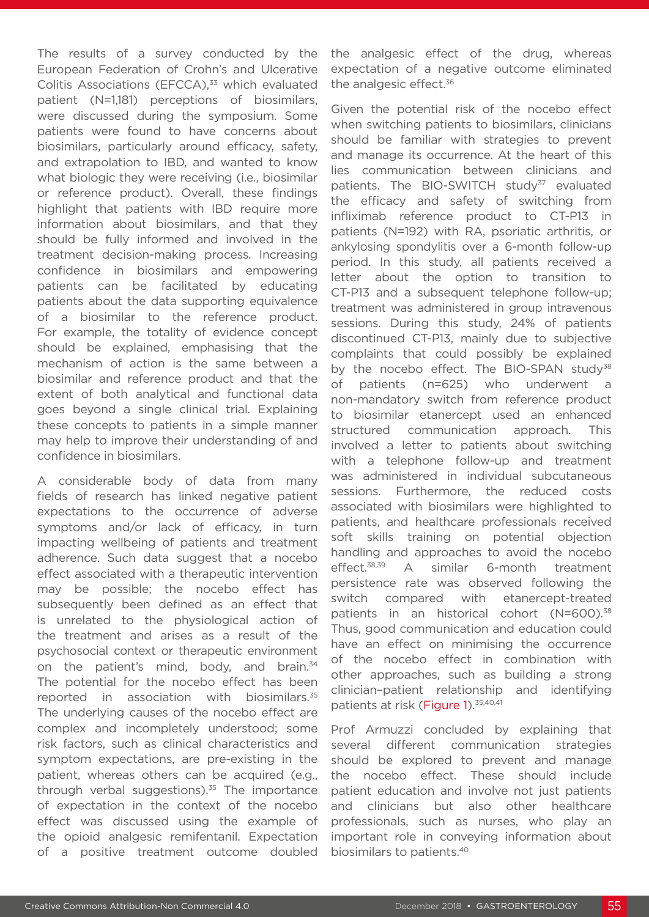The results of a survey conducted by the European Federation of Crohn's and Ulcerative Colitis Associations (EFCCA),<sup>33</sup> which evaluated patient (N=1,181) perceptions of biosimilars, were discussed during the symposium. Some patients were found to have concerns about biosimilars, particularly around efficacy, safety, and extrapolation to IBD, and wanted to know what biologic they were receiving (i.e., biosimilar or reference product). Overall, these findings highlight that patients with IBD require more information about biosimilars, and that they should be fully informed and involved in the treatment decision-making process. Increasing confidence in biosimilars and empowering patients can be facilitated by educating patients about the data supporting equivalence of a biosimilar to the reference product. For example, the totality of evidence concept should be explained, emphasising that the mechanism of action is the same between a biosimilar and reference product and that the extent of both analytical and functional data goes beyond a single clinical trial. Explaining these concepts to patients in a simple manner may help to improve their understanding of and confidence in biosimilars.

A considerable body of data from many fields of research has linked negative patient expectations to the occurrence of adverse symptoms and/or lack of efficacy, in turn impacting wellbeing of patients and treatment adherence. Such data suggest that a nocebo effect associated with a therapeutic intervention may be possible; the nocebo effect has subsequently been defined as an effect that is unrelated to the physiological action of the treatment and arises as a result of the psychosocial context or therapeutic environment on the patient's mind, body, and brain. $34$ The potential for the nocebo effect has been reported in association with biosimilars.<sup>35</sup> The underlying causes of the nocebo effect are complex and incompletely understood; some risk factors, such as clinical characteristics and symptom expectations, are pre-existing in the patient, whereas others can be acquired (e.g., through verbal suggestions). $35$  The importance of expectation in the context of the nocebo effect was discussed using the example of the opioid analgesic remifentanil. Expectation of a positive treatment outcome doubled

the analgesic effect of the drug, whereas expectation of a negative outcome eliminated the analgesic effect.<sup>36</sup>

Given the potential risk of the nocebo effect when switching patients to biosimilars, clinicians should be familiar with strategies to prevent and manage its occurrence. At the heart of this lies communication between clinicians and patients. The BIO-SWITCH study<sup>37</sup> evaluated the efficacy and safety of switching from infliximab reference product to CT-P13 in patients (N=192) with RA, psoriatic arthritis, or ankylosing spondylitis over a 6-month follow-up period. In this study, all patients received a letter about the option to transition to CT-P13 and a subsequent telephone follow-up; treatment was administered in group intravenous sessions. During this study, 24% of patients discontinued CT-P13, mainly due to subjective complaints that could possibly be explained by the nocebo effect. The BIO-SPAN study<sup>38</sup> of patients (n=625) who underwent a non-mandatory switch from reference product to biosimilar etanercept used an enhanced structured communication approach. This involved a letter to patients about switching with a telephone follow-up and treatment was administered in individual subcutaneous sessions. Furthermore, the reduced costs associated with biosimilars were highlighted to patients, and healthcare professionals received soft skills training on potential objection handling and approaches to avoid the nocebo effect.38,39 A similar 6-month treatment persistence rate was observed following the switch compared with etanercept-treated patients in an historical cohort (N=600).<sup>38</sup> Thus, good communication and education could have an effect on minimising the occurrence of the nocebo effect in combination with other approaches, such as building a strong clinician–patient relationship and identifying patients at risk (Figure 1).<sup>35,40,41</sup>

Prof Armuzzi concluded by explaining that several different communication strategies should be explored to prevent and manage the nocebo effect. These should include patient education and involve not just patients and clinicians but also other healthcare professionals, such as nurses, who play an important role in conveying information about biosimilars to patients.40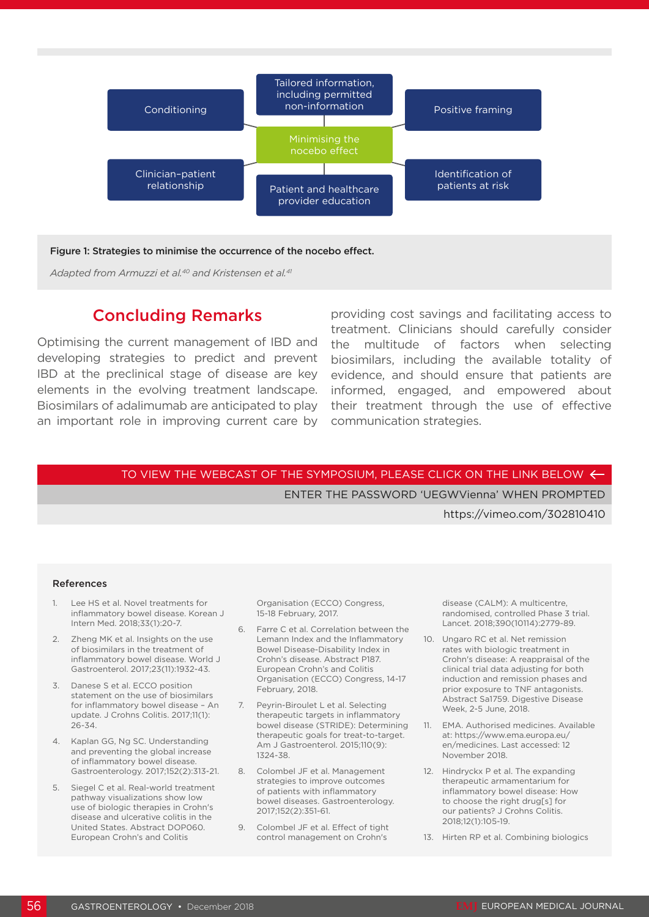

#### Figure 1: Strategies to minimise the occurrence of the nocebo effect.

*Adapted from Armuzzi et al.40 and Kristensen et al.41*

#### Concluding Remarks

Optimising the current management of IBD and developing strategies to predict and prevent IBD at the preclinical stage of disease are key elements in the evolving treatment landscape. Biosimilars of adalimumab are anticipated to play an important role in improving current care by communication strategies.

providing cost savings and facilitating access to treatment. Clinicians should carefully consider the multitude of factors when selecting biosimilars, including the available totality of evidence, and should ensure that patients are informed, engaged, and empowered about their treatment through the use of effective

#### TO VIEW THE WEBCAST OF THE SYMPOSIUM, PLEASE CLICK ON THE LINK BELOW  $\leftarrow$

ENTER THE PASSWORD 'UEGWVienna' WHEN PROMPTED

https://vimeo.com/302810410

#### References

- 1. Lee HS et al. Novel treatments for inflammatory bowel disease. Korean J Intern Med. 2018;33(1):20-7.
- 2. Zheng MK et al. Insights on the use of biosimilars in the treatment of inflammatory bowel disease. World J Gastroenterol. 2017;23(11):1932-43.
- 3. Danese S et al. ECCO position statement on the use of biosimilars for inflammatory bowel disease – An update. J Crohns Colitis. 2017;11(1): 26-34.
- 4. Kaplan GG, Ng SC. Understanding and preventing the global increase of inflammatory bowel disease. Gastroenterology. 2017;152(2):313-21.
- 5. Siegel C et al. Real-world treatment pathway visualizations show low use of biologic therapies in Crohn's disease and ulcerative colitis in the United States. Abstract DOP060. European Crohn's and Colitis

Organisation (ECCO) Congress, 15-18 February, 2017.

- 6. Farre C et al. Correlation between the Lemann Index and the Inflammatory Bowel Disease-Disability Index in Crohn's disease. Abstract P187. European Crohn's and Colitis Organisation (ECCO) Congress, 14-17 February, 2018.
- 7. Peyrin-Biroulet L et al. Selecting therapeutic targets in inflammatory bowel disease (STRIDE): Determining therapeutic goals for treat-to-target. Am J Gastroenterol. 2015;110(9): 1324-38.
- 8. Colombel JF et al. Management strategies to improve outcomes of patients with inflammatory bowel diseases. Gastroenterology. 2017;152(2):351-61.
- 9. Colombel JF et al. Effect of tight control management on Crohn's

disease (CALM): A multicentre, randomised, controlled Phase 3 trial. Lancet. 2018;390(10114):2779-89.

- 10. Ungaro RC et al. Net remission rates with biologic treatment in Crohn's disease: A reappraisal of the clinical trial data adjusting for both induction and remission phases and prior exposure to TNF antagonists. Abstract Sa1759. Digestive Disease Week, 2-5 June, 2018.
- 11. EMA. Authorised medicines. Available at: https://www.ema.europa.eu/ en/medicines. Last accessed: 12 November 2018.
- 12. Hindryckx P et al. The expanding therapeutic armamentarium for inflammatory bowel disease: How to choose the right drug[s] for our patients? J Crohns Colitis. 2018;12(1):105-19.
- 13. Hirten RP et al. Combining biologics